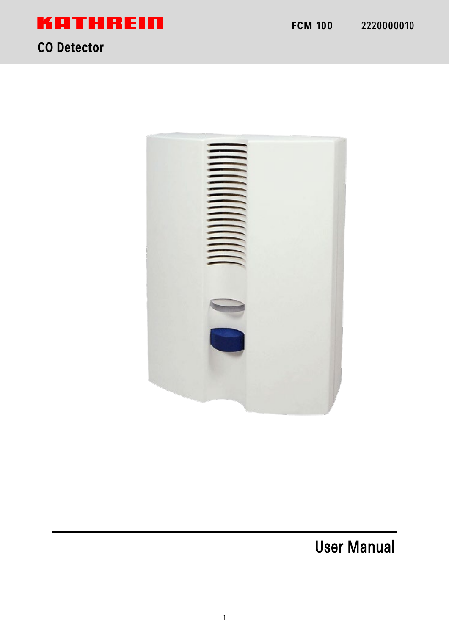

# **KATHREIN**

# **CO Detector**



User Manual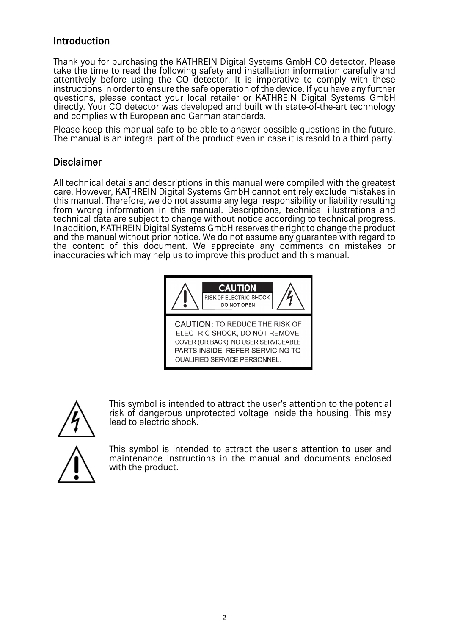# Introduction

Thank you for purchasing the KATHREIN Digital Systems GmbH CO detector. Please take the time to read the following safety and installation information carefully and attentively before using the CO detector. It is imperative to comply with these instructions in order to ensure the safe operation of the device. If you have any further questions, please contact your local retailer or KATHREIN Digital Systems GmbH directly. Your CO detector was developed and built with state-of-the-art technology and complies with European and German standards.

Please keep this manual safe to be able to answer possible questions in the future. The manual is an integral part of the product even in case it is resold to a third party.

## Disclaimer

All technical details and descriptions in this manual were compiled with the greatest care. However, KATHREIN Digital Systems GmbH cannot entirely exclude mistakes in this manual. Therefore, we do not assume any legal responsibility or liability resulting from wrong information in this manual. Descriptions, technical illustrations and technical data are subject to change without notice according to technical progress. In addition, KATHREIN Digital Systems GmbH reserves the right to change the product and the manual without prior notice. We do not assume any guarantee with regard to the content of this document. We appreciate any comments on mistakes or inaccuracies which may help us to improve this product and this manual.





This symbol is intended to attract the user's attention to the potential risk of dangerous unprotected voltage inside the housing. This may lead to electric shock.

This symbol is intended to attract the user's attention to user and maintenance instructions in the manual and documents enclosed with the product.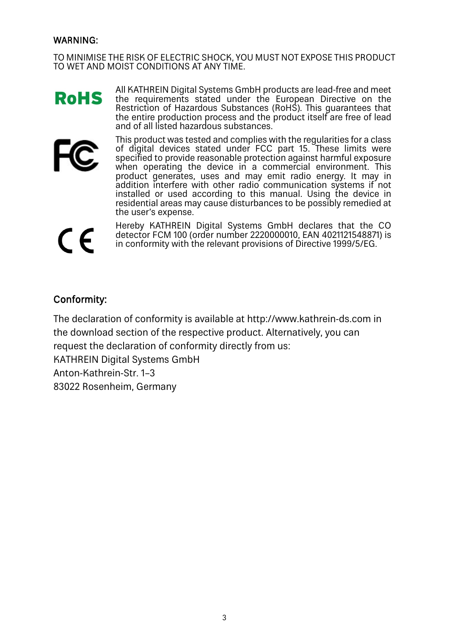#### WARNING:

TO MINIMISE THE RISK OF ELECTRIC SHOCK, YOU MUST NOT EXPOSE THIS PRODUCT TO WET AND MOIST CONDITIONS AT ANY TIME.

All KATHREIN Digital Systems GmbH products are lead-free and meet **RoHS** the requirements stated under the European Directive on the Restriction of Hazardous Substances (RoHS). This guarantees that the entire production process and the product itself are free of lead and of all listed hazardous substances.



This product was tested and complies with the regularities for a class of digital devices stated under FCC part 15. These limits were specified to provide reasonable protection against harmful exposure when operating the device in a commercial environment. This product generates, uses and may emit radio energy. It may in addition interfere with other radio communication systems if not installed or used according to this manual. Using the device in residential areas may cause disturbances to be possibly remedied at the user's expense.

 $\epsilon$ 

Hereby KATHREIN Digital Systems GmbH declares that the CO detector FCM 100 (order number 2220000010, EAN 4021121548871) is in conformity with the relevant provisions of Directive 1999/5/EG.

# Conformity:

The declaration of conformity is available at http://www.kathrein-ds.com in the download section of the respective product. Alternatively, you can request the declaration of conformity directly from us: KATHREIN Digital Systems GmbH Anton-Kathrein-Str. 1–3 83022 Rosenheim, Germany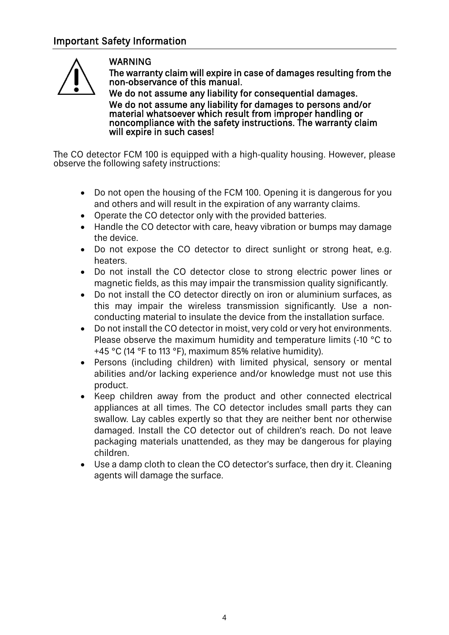

## WARNING

The warranty claim will expire in case of damages resulting from the non-observance of this manual.

We do not assume any liability for consequential damages. We do not assume any liability for damages to persons and/or material whatsoever which result from improper handling or noncompliance with the safety instructions. The warranty claim will expire in such cases!

The CO detector FCM 100 is equipped with a high-quality housing. However, please observe the following safety instructions:

- Do not open the housing of the FCM 100. Opening it is dangerous for you and others and will result in the expiration of any warranty claims.
- Operate the CO detector only with the provided batteries.
- Handle the CO detector with care, heavy vibration or bumps may damage the device.
- Do not expose the CO detector to direct sunlight or strong heat, e.g. heaters.
- Do not install the CO detector close to strong electric power lines or magnetic fields, as this may impair the transmission quality significantly.
- Do not install the CO detector directly on iron or aluminium surfaces, as this may impair the wireless transmission significantly. Use a nonconducting material to insulate the device from the installation surface.
- Do not install the CO detector in moist, very cold or very hot environments. Please observe the maximum humidity and temperature limits (-10 °C to +45 °C (14 °F to 113 °F), maximum 85% relative humidity).
- Persons (including children) with limited physical, sensory or mental abilities and/or lacking experience and/or knowledge must not use this product.
- Keep children away from the product and other connected electrical appliances at all times. The CO detector includes small parts they can swallow. Lay cables expertly so that they are neither bent nor otherwise damaged. Install the CO detector out of children's reach. Do not leave packaging materials unattended, as they may be dangerous for playing children.
- Use a damp cloth to clean the CO detector's surface, then dry it. Cleaning agents will damage the surface.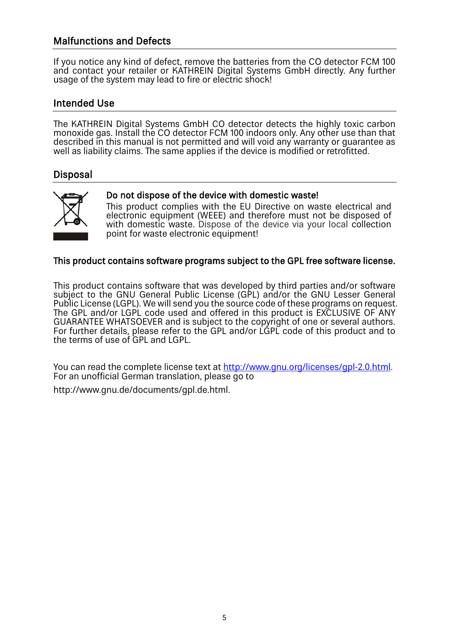# Malfunctions and Defects

If you notice any kind of defect, remove the batteries from the CO detector FCM 100 and contact your retailer or KATHREIN Digital Systems GmbH directly. Any further usage of the system may lead to fire or electric shock!

# Intended Use

The KATHREIN Digital Systems GmbH CO detector detects the highly toxic carbon monoxide gas. Install the CO detector FCM 100 indoors only. Any other use than that described in this manual is not permitted and will void any warranty or guarantee as well as liability claims. The same applies if the device is modified or retrofitted.

# Disposal



#### Do not dispose of the device with domestic waste!

This product complies with the EU Directive on waste electrical and electronic equipment (WEEE) and therefore must not be disposed of with domestic waste. Dispose of the device via your local collection point for waste electronic equipment!

#### This product contains software programs subject to the GPL free software license.

This product contains software that was developed by third parties and/or software subject to the GNU General Public License (GPL) and/or the GNU Lesser General Public License (LGPL). We will send you the source code of these programs on request. The GPL and/or LGPL code used and offered in this product is EXCLUSIVE OF ANY GUARANTEE WHATSOEVER and is subject to the copyright of one or several authors. For further details, please refer to the GPL and/or LGPL code of this product and to the terms of use of GPL and LGPL.

You can read the complete license text at [http://www.gnu.org/licenses/gpl-2.0.html.](http://www.gnu.org/licenses/gpl-2.0.html) For an unofficial German translation, please go to

http://www.gnu.de/documents/gpl.de.html.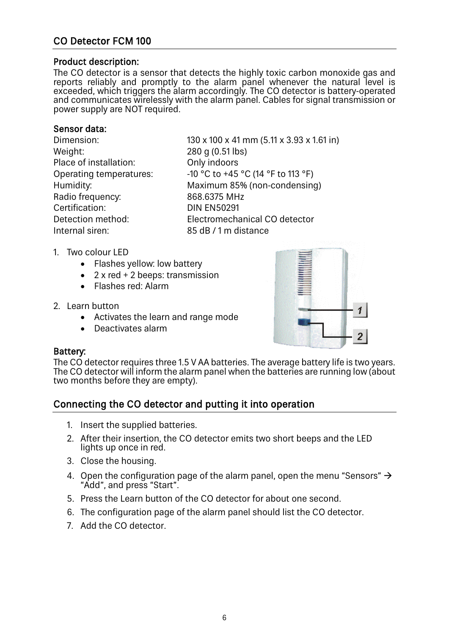# CO Detector FCM 100

#### Product description:

The CO detector is a sensor that detects the highly toxic carbon monoxide gas and reports reliably and promptly to the alarm panel whenever the natural level is exceeded, which triggers the alarm accordingly. The CO detector is battery-operated and communicates wirelessly with the alarm panel. Cables for signal transmission or power supply are NOT required.

#### Sensor data:

Weight: 280 g (0.51 lbs)<br>Place of installation: 0nly indoors Place of installation: Radio frequency: 868.6375 MHz Certification: DIN EN50291 Internal siren: 85 dB / 1 m distance

Dimension: 130 x 100 x 41 mm (5.11 x 3.93 x 1.61 in) Operating temperatures:  $-10 \degree C$  to +45  $\degree C$  (14  $\degree F$  to 113  $\degree F$ ) Humidity: Maximum 85% (non-condensing) Detection method: Electromechanical CO detector

- 1. Two colour LED
	- Flashes yellow: low battery
	- 2 x red + 2 beeps: transmission
	- Flashes red: Alarm
- 2. Learn button
	- Activates the learn and range mode
	- Deactivates alarm



#### Battery:

The CO detector requires three 1.5 V AA batteries. The average battery life is two years. The CO detector will inform the alarm panel when the batteries are running low (about two months before they are empty).

# Connecting the CO detector and putting it into operation

- 1. Insert the supplied batteries.
- 2. After their insertion, the CO detector emits two short beeps and the LED lights up once in red.
- 3. Close the housing.
- 4. Open the configuration page of the alarm panel, open the menu "Sensors"  $\rightarrow$ "Add", and press "Start".
- 5. Press the Learn button of the CO detector for about one second.
- 6. The configuration page of the alarm panel should list the CO detector.
- 7. Add the CO detector.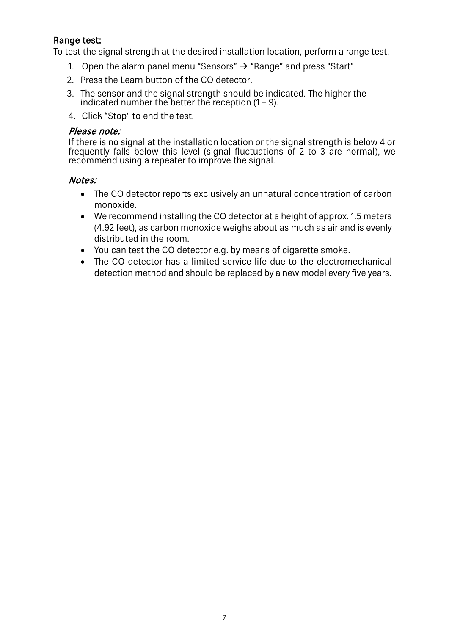#### Range test:

To test the signal strength at the desired installation location, perform a range test.

- 1. Open the alarm panel menu "Sensors"  $\rightarrow$  "Range" and press "Start".
- 2. Press the Learn button of the CO detector.
- 3. The sensor and the signal strength should be indicated. The higher the indicated number the better the reception  $(1 - 9)$ .
- 4. Click "Stop" to end the test.

#### Please note:

If there is no signal at the installation location or the signal strength is below 4 or frequently falls below this level (signal fluctuations of 2 to 3 are normal), we recommend using a repeater to improve the signal.

#### Notes:

- The CO detector reports exclusively an unnatural concentration of carbon monoxide.
- We recommend installing the CO detector at a height of approx. 1.5 meters (4.92 feet), as carbon monoxide weighs about as much as air and is evenly distributed in the room.
- You can test the CO detector e.g. by means of cigarette smoke.
- The CO detector has a limited service life due to the electromechanical detection method and should be replaced by a new model every five years.